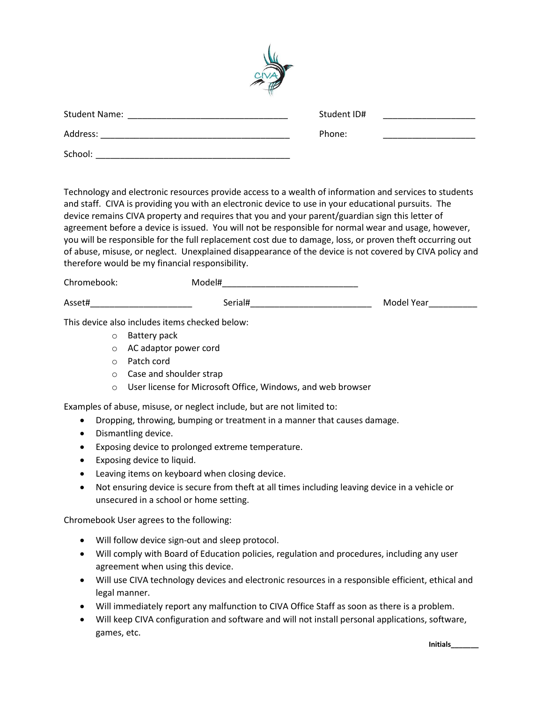

| <b>Student Name:</b> | Student ID# |  |
|----------------------|-------------|--|
| Address:             | Phone:      |  |
| School:              |             |  |

Technology and electronic resources provide access to a wealth of information and services to students and staff. CIVA is providing you with an electronic device to use in your educational pursuits. The device remains CIVA property and requires that you and your parent/guardian sign this letter of agreement before a device is issued. You will not be responsible for normal wear and usage, however, you will be responsible for the full replacement cost due to damage, loss, or proven theft occurring out of abuse, misuse, or neglect. Unexplained disappearance of the device is not covered by CIVA policy and therefore would be my financial responsibility.

| Chromebook: | Model#  |            |
|-------------|---------|------------|
| Asset#      | Serial# | Model Year |

This device also includes items checked below:

- o Battery pack
- o AC adaptor power cord
- o Patch cord
- o Case and shoulder strap
- o User license for Microsoft Office, Windows, and web browser

Examples of abuse, misuse, or neglect include, but are not limited to:

- Dropping, throwing, bumping or treatment in a manner that causes damage.
- Dismantling device.
- Exposing device to prolonged extreme temperature.
- Exposing device to liquid.
- Leaving items on keyboard when closing device.
- Not ensuring device is secure from theft at all times including leaving device in a vehicle or unsecured in a school or home setting.

Chromebook User agrees to the following:

- Will follow device sign-out and sleep protocol.
- Will comply with Board of Education policies, regulation and procedures, including any user agreement when using this device.
- Will use CIVA technology devices and electronic resources in a responsible efficient, ethical and legal manner.
- Will immediately report any malfunction to CIVA Office Staff as soon as there is a problem.
- Will keep CIVA configuration and software and will not install personal applications, software, games, etc.

**Initials\_\_\_\_\_\_\_**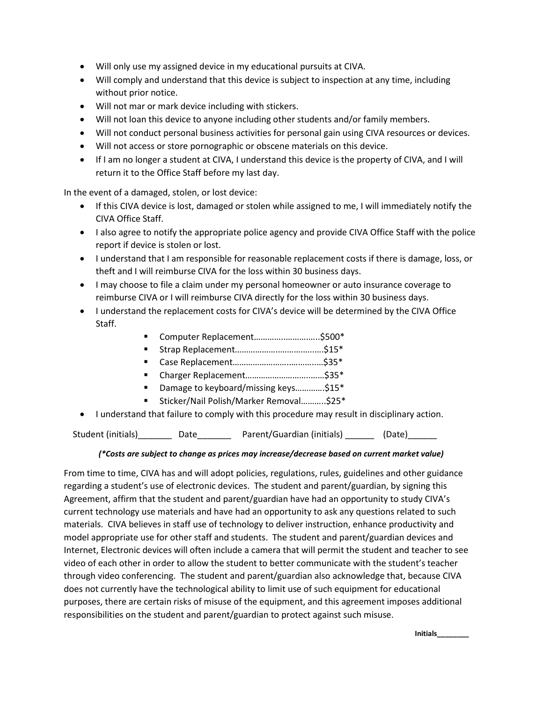- Will only use my assigned device in my educational pursuits at CIVA.
- Will comply and understand that this device is subject to inspection at any time, including without prior notice.
- Will not mar or mark device including with stickers.
- Will not loan this device to anyone including other students and/or family members.
- Will not conduct personal business activities for personal gain using CIVA resources or devices.
- Will not access or store pornographic or obscene materials on this device.
- If I am no longer a student at CIVA, I understand this device is the property of CIVA, and I will return it to the Office Staff before my last day.

In the event of a damaged, stolen, or lost device:

- If this CIVA device is lost, damaged or stolen while assigned to me, I will immediately notify the CIVA Office Staff.
- I also agree to notify the appropriate police agency and provide CIVA Office Staff with the police report if device is stolen or lost.
- I understand that I am responsible for reasonable replacement costs if there is damage, loss, or theft and I will reimburse CIVA for the loss within 30 business days.
- I may choose to file a claim under my personal homeowner or auto insurance coverage to reimburse CIVA or I will reimburse CIVA directly for the loss within 30 business days.
- I understand the replacement costs for CIVA's device will be determined by the CIVA Office Staff.
	- Computer Replacement.................................\$500\*
	- Strap Replacement………………..……….…..….\$15\*
	- Case Replacement……………………..………..…\$35\*
	- Charger Replacement………………………..……\$35\*
	- Damage to keyboard/missing keys.............\$15<sup>\*</sup>
	- Sticker/Nail Polish/Marker Removal...........\$25\*
- I understand that failure to comply with this procedure may result in disciplinary action.

Student (initials)\_\_\_\_\_\_\_\_ Date\_\_\_\_\_\_\_ Parent/Guardian (initials) \_\_\_\_\_\_ (Date)\_\_\_\_\_\_

## *(\*Costs are subject to change as prices may increase/decrease based on current market value)*

From time to time, CIVA has and will adopt policies, regulations, rules, guidelines and other guidance regarding a student's use of electronic devices. The student and parent/guardian, by signing this Agreement, affirm that the student and parent/guardian have had an opportunity to study CIVA's current technology use materials and have had an opportunity to ask any questions related to such materials. CIVA believes in staff use of technology to deliver instruction, enhance productivity and model appropriate use for other staff and students. The student and parent/guardian devices and Internet, Electronic devices will often include a camera that will permit the student and teacher to see video of each other in order to allow the student to better communicate with the student's teacher through video conferencing. The student and parent/guardian also acknowledge that, because CIVA does not currently have the technological ability to limit use of such equipment for educational purposes, there are certain risks of misuse of the equipment, and this agreement imposes additional responsibilities on the student and parent/guardian to protect against such misuse.

**Initials\_\_\_\_\_\_\_\_**